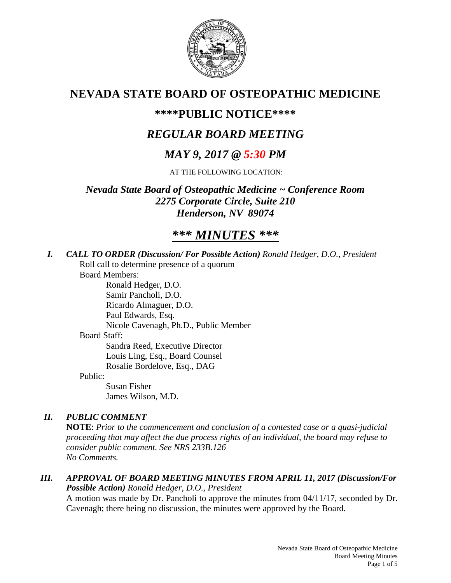

# **NEVADA STATE BOARD OF OSTEOPATHIC MEDICINE**

# **\*\*\*\*PUBLIC NOTICE\*\*\*\***

# *REGULAR BOARD MEETING*

# *MAY 9, 2017 @ 5:30 PM*

AT THE FOLLOWING LOCATION:

*Nevada State Board of Osteopathic Medicine ~ Conference Room 2275 Corporate Circle, Suite 210 Henderson, NV 89074* 

# *\*\*\* MINUTES \*\*\**

*I. CALL TO ORDER (Discussion/ For Possible Action) Ronald Hedger, D.O., President*

Roll call to determine presence of a quorum

Board Members:

Ronald Hedger, D.O. Samir Pancholi, D.O. Ricardo Almaguer, D.O. Paul Edwards, Esq. Nicole Cavenagh, Ph.D., Public Member Board Staff: Sandra Reed, Executive Director Louis Ling, Esq., Board Counsel Rosalie Bordelove, Esq., DAG

Public:

 Susan Fisher James Wilson, M.D.

# *II. PUBLIC COMMENT*

**NOTE**: *Prior to the commencement and conclusion of a contested case or a quasi-judicial proceeding that may affect the due process rights of an individual, the board may refuse to consider public comment. See NRS 233B.126 No Comments.* 

## *III. APPROVAL OF BOARD MEETING MINUTES FROM APRIL 11, 2017 (Discussion/For Possible Action) Ronald Hedger, D.O., President*

A motion was made by Dr. Pancholi to approve the minutes from 04/11/17, seconded by Dr. Cavenagh; there being no discussion, the minutes were approved by the Board.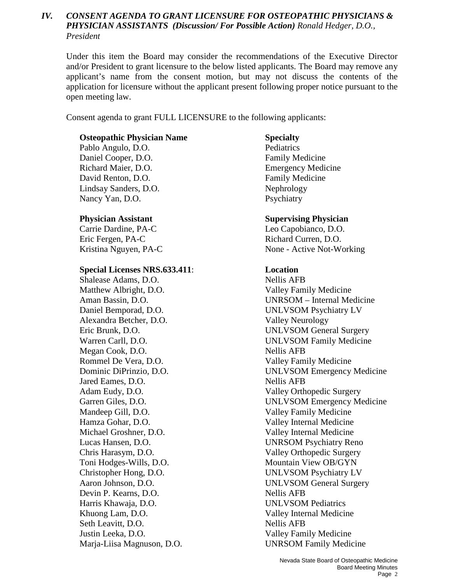## *IV. CONSENT AGENDA TO GRANT LICENSURE FOR OSTEOPATHIC PHYSICIANS & PHYSICIAN ASSISTANTS (Discussion/ For Possible Action) Ronald Hedger, D.O., President*

Under this item the Board may consider the recommendations of the Executive Director and/or President to grant licensure to the below listed applicants. The Board may remove any applicant's name from the consent motion, but may not discuss the contents of the application for licensure without the applicant present following proper notice pursuant to the open meeting law.

Consent agenda to grant FULL LICENSURE to the following applicants:

#### **Osteopathic Physician Name Specialty**

Pablo Angulo, D.O. Pediatrics Daniel Cooper, D.O. Family Medicine Richard Maier, D.O. Emergency Medicine David Renton, D.O. **Family Medicine** Lindsay Sanders, D.O. Nephrology Nancy Yan, D.O. Psychiatry

Carrie Dardine, PA-C Leo Capobianco, D.O. Eric Fergen, PA-C Richard Curren, D.O.

#### **Special Licenses NRS.633.411**: **Location**

Shalease Adams, D.O. Nellis AFB Matthew Albright, D.O. Valley Family Medicine Daniel Bemporad, D.O. UNLVSOM Psychiatry LV Alexandra Betcher, D.O. Valley Neurology Megan Cook, D.O. Nellis AFB Rommel De Vera, D.O. Valley Family Medicine Jared Eames, D.O. Nellis AFB Adam Eudy, D.O. Valley Orthopedic Surgery Mandeep Gill, D.O. Valley Family Medicine Hamza Gohar, D.O. Valley Internal Medicine Michael Groshner, D.O. Valley Internal Medicine Lucas Hansen, D.O. UNRSOM Psychiatry Reno Chris Harasym, D.O. Valley Orthopedic Surgery Toni Hodges-Wills, D.O. Mountain View OB/GYN Christopher Hong, D.O. UNLVSOM Psychiatry LV Devin P. Kearns, D.O. Nellis AFB Harris Khawaja, D.O. UNLVSOM Pediatrics Khuong Lam, D.O. Valley Internal Medicine Seth Leavitt, D.O. Nellis AFB Justin Leeka, D.O. Valley Family Medicine Marja-Liisa Magnuson, D.O. UNRSOM Family Medicine

### **Physician Assistant Supervising Physician**

Kristina Nguyen, PA-C None - Active Not-Working

Aman Bassin, D.O. UNRSOM – Internal Medicine Eric Brunk, D.O. UNLVSOM General Surgery Warren Carll, D.O. **UNLVSOM Family Medicine** Dominic DiPrinzio, D.O. UNLVSOM Emergency Medicine Garren Giles, D.O. UNLVSOM Emergency Medicine Aaron Johnson, D.O. UNLVSOM General Surgery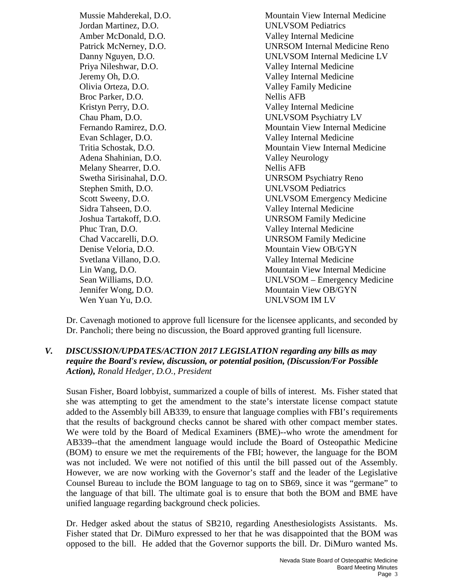Jordan Martinez, D.O. UNLVSOM Pediatrics Amber McDonald, D.O. Valley Internal Medicine Priya Nileshwar, D.O. Valley Internal Medicine Jeremy Oh, D.O. Valley Internal Medicine Olivia Orteza, D.O. Valley Family Medicine Broc Parker, D.O. Nellis AFB Kristyn Perry, D.O. Valley Internal Medicine Evan Schlager, D.O. Valley Internal Medicine Adena Shahinian, D.O. Valley Neurology Melany Shearrer, D.O. Nellis AFB Stephen Smith, D.O. UNLVSOM Pediatrics Sidra Tahseen, D.O. Valley Internal Medicine Phuc Tran, D.O. Valley Internal Medicine Denise Veloria, D.O. Mountain View OB/GYN Svetlana Villano, D.O. Valley Internal Medicine Jennifer Wong, D.O. Mountain View OB/GYN Wen Yuan Yu, D.O. UNLVSOM IM LV

Mussie Mahderekal, D.O. Mountain View Internal Medicine Patrick McNerney, D.O. UNRSOM Internal Medicine Reno Danny Nguyen, D.O. UNLVSOM Internal Medicine LV Chau Pham, D.O. UNLVSOM Psychiatry LV Fernando Ramirez, D.O. Mountain View Internal Medicine Tritia Schostak, D.O. Mountain View Internal Medicine Swetha Sirisinahal, D.O. UNRSOM Psychiatry Reno Scott Sweeny, D.O. UNLVSOM Emergency Medicine Joshua Tartakoff, D.O. UNRSOM Family Medicine Chad Vaccarelli, D.O. UNRSOM Family Medicine Lin Wang, D.O. Mountain View Internal Medicine Sean Williams, D.O. UNLVSOM – Emergency Medicine

Dr. Cavenagh motioned to approve full licensure for the licensee applicants, and seconded by Dr. Pancholi; there being no discussion, the Board approved granting full licensure.

## *V. DISCUSSION/UPDATES/ACTION 2017 LEGISLATION regarding any bills as may require the Board's review, discussion, or potential position, (Discussion/For Possible Action), Ronald Hedger, D.O., President*

Susan Fisher, Board lobbyist, summarized a couple of bills of interest. Ms. Fisher stated that she was attempting to get the amendment to the state's interstate license compact statute added to the Assembly bill AB339, to ensure that language complies with FBI's requirements that the results of background checks cannot be shared with other compact member states. We were told by the Board of Medical Examiners (BME)--who wrote the amendment for AB339--that the amendment language would include the Board of Osteopathic Medicine (BOM) to ensure we met the requirements of the FBI; however, the language for the BOM was not included. We were not notified of this until the bill passed out of the Assembly. However, we are now working with the Governor's staff and the leader of the Legislative Counsel Bureau to include the BOM language to tag on to SB69, since it was "germane" to the language of that bill. The ultimate goal is to ensure that both the BOM and BME have unified language regarding background check policies.

Dr. Hedger asked about the status of SB210, regarding Anesthesiologists Assistants. Ms. Fisher stated that Dr. DiMuro expressed to her that he was disappointed that the BOM was opposed to the bill. He added that the Governor supports the bill. Dr. DiMuro wanted Ms.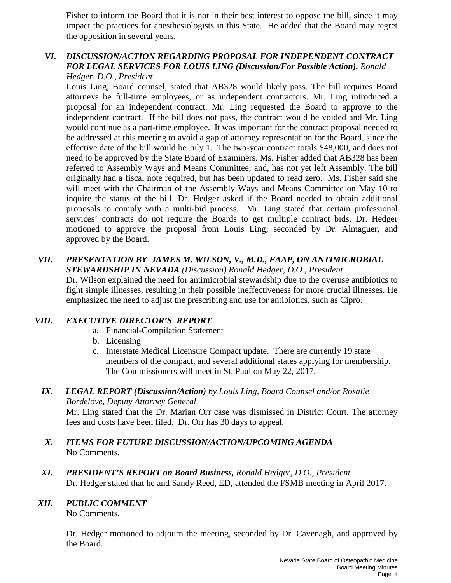Fisher to inform the Board that it is not in their best interest to oppose the bill, since it may impact the practices for anesthesiologists in this State. He added that the Board may regret the opposition in several years.

### *VI. DISCUSSION/ACTION REGARDING PROPOSAL FOR INDEPENDENT CONTRACT FOR LEGAL SERVICES FOR LOUIS LING (Discussion/For Possible Action), Ronald Hedger, D.O., President*

Louis Ling, Board counsel, stated that AB328 would likely pass. The bill requires Board attorneys be full-time employees, or as independent contractors. Mr. Ling introduced a proposal for an independent contract. Mr. Ling requested the Board to approve to the independent contract. If the bill does not pass, the contract would be voided and Mr. Ling would continue as a part-time employee. It was important for the contract proposal needed to be addressed at this meeting to avoid a gap of attorney representation for the Board, since the effective date of the bill would be July 1. The two-year contract totals \$48,000, and does not need to be approved by the State Board of Examiners. Ms. Fisher added that AB328 has been referred to Assembly Ways and Means Committee; and, has not yet left Assembly. The bill originally had a fiscal note required, but has been updated to read zero. Ms. Fisher said she will meet with the Chairman of the Assembly Ways and Means Committee on May 10 to inquire the status of the bill. Dr. Hedger asked if the Board needed to obtain additional proposals to comply with a multi-bid process. Mr. Ling stated that certain professional services' contracts do not require the Boards to get multiple contract bids. Dr. Hedger motioned to approve the proposal from Louis Ling; seconded by Dr. Almaguer, and approved by the Board.

### *VII. PRESENTATION BY JAMES M. WILSON, V., M.D., FAAP, ON ANTIMICROBIAL STEWARDSHIP IN NEVADA (Discussion) Ronald Hedger, D.O., President*

Dr. Wilson explained the need for antimicrobial stewardship due to the overuse antibiotics to fight simple illnesses, resulting in their possible ineffectiveness for more crucial illnesses. He emphasized the need to adjust the prescribing and use for antibiotics, such as Cipro.

# *VIII. EXECUTIVE DIRECTOR'S REPORT*

- a. Financial-Compilation Statement
- b. Licensing
- c. Interstate Medical Licensure Compact update. There are currently 19 state members of the compact, and several additional states applying for membership. The Commissioners will meet in St. Paul on May 22, 2017.

## *IX. LEGAL REPORT (Discussion/Action) by Louis Ling, Board Counsel and/or Rosalie Bordelove, Deputy Attorney General*

Mr. Ling stated that the Dr. Marian Orr case was dismissed in District Court. The attorney fees and costs have been filed. Dr. Orr has 30 days to appeal.

- *X. ITEMS FOR FUTURE DISCUSSION/ACTION/UPCOMING AGENDA*  No Comments.
- *XI. PRESIDENT'S REPORT on Board Business, Ronald Hedger, D.O., President* Dr. Hedger stated that he and Sandy Reed, ED, attended the FSMB meeting in April 2017.

# *XII. PUBLIC COMMENT*

No Comments.

Dr. Hedger motioned to adjourn the meeting, seconded by Dr. Cavenagh, and approved by the Board.